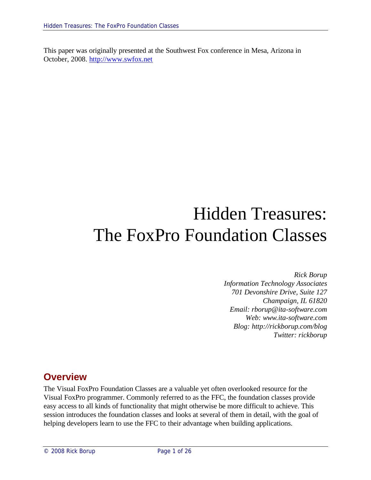This paper was originally presented at the Southwest Fox conference in Mesa, Arizona in October, 2008. http://www.swfox.net

# Hidden Treasures: The FoxPro Foundation Classes

*Rick Borup Information Technology Associates 701 Devonshire Drive, Suite 127 Champaign, IL 61820 Email: rborup@ita-software.com Web: www.ita-software.com Blog: http://rickborup.com/blog Twitter: rickborup*

# **Overview**

The Visual FoxPro Foundation Classes are a valuable yet often overlooked resource for the Visual FoxPro programmer. Commonly referred to as the FFC, the foundation classes provide easy access to all kinds of functionality that might otherwise be more difficult to achieve. This session introduces the foundation classes and looks at several of them in detail, with the goal of helping developers learn to use the FFC to their advantage when building applications.

© 2008 Rick Borup Page 1 of 26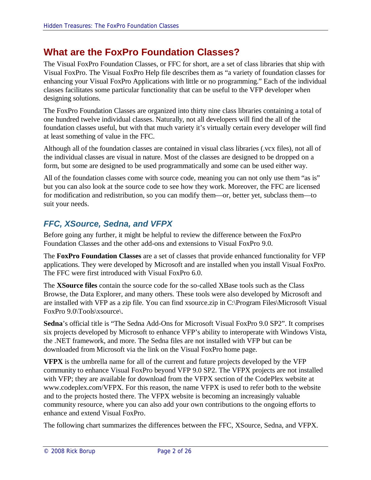# **What are the FoxPro Foundation Classes?**

The Visual FoxPro Foundation Classes, or FFC for short, are a set of class libraries that ship with Visual FoxPro. The Visual FoxPro Help file describes them as "a variety of foundation classes for enhancing your Visual FoxPro Applications with little or no programming." Each of the individual classes facilitates some particular functionality that can be useful to the VFP developer when designing solutions.

The FoxPro Foundation Classes are organized into thirty nine class libraries containing a total of one hundred twelve individual classes. Naturally, not all developers will find the all of the foundation classes useful, but with that much variety it's virtually certain every developer will find at least something of value in the FFC.

Although all of the foundation classes are contained in visual class libraries (.vcx files), not all of the individual classes are visual in nature. Most of the classes are designed to be dropped on a form, but some are designed to be used programmatically and some can be used either way.

All of the foundation classes come with source code, meaning you can not only use them "as is" but you can also look at the source code to see how they work. Moreover, the FFC are licensed for modification and redistribution, so you can modify them—or, better yet, subclass them—to suit your needs.

# *FFC, XSource, Sedna, and VFPX*

Before going any further, it might be helpful to review the difference between the FoxPro Foundation Classes and the other add-ons and extensions to Visual FoxPro 9.0.

The **FoxPro Foundation Classes** are a set of classes that provide enhanced functionality for VFP applications. They were developed by Microsoft and are installed when you install Visual FoxPro. The FFC were first introduced with Visual FoxPro 6.0.

The **XSource files** contain the source code for the so-called XBase tools such as the Class Browse, the Data Explorer, and many others. These tools were also developed by Microsoft and are installed with VFP as a zip file. You can find xsource.zip in C:\Program Files\Microsoft Visual FoxPro 9.0\Tools\xsource\.

**Sedna**'s official title is "The Sedna Add-Ons for Microsoft Visual FoxPro 9.0 SP2". It comprises six projects developed by Microsoft to enhance VFP's ability to interoperate with Windows Vista, the .NET framework, and more. The Sedna files are not installed with VFP but can be downloaded from Microsoft via the link on the Visual FoxPro home page.

**VFPX** is the umbrella name for all of the current and future projects developed by the VFP community to enhance Visual FoxPro beyond VFP 9.0 SP2. The VFPX projects are not installed with VFP; they are available for download from the VFPX section of the CodePlex website at www.codeplex.com/VFPX. For this reason, the name VFPX is used to refer both to the website and to the projects hosted there. The VFPX website is becoming an increasingly valuable community resource, where you can also add your own contributions to the ongoing efforts to enhance and extend Visual FoxPro.

The following chart summarizes the differences between the FFC, XSource, Sedna, and VFPX.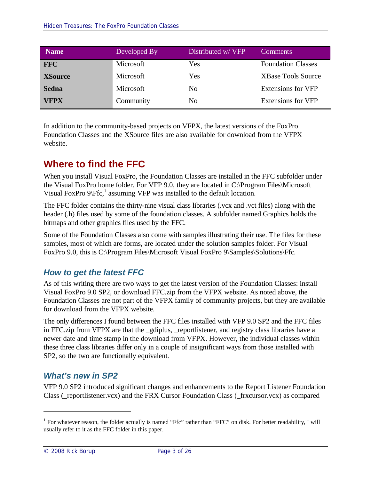| <b>Name</b>    | Developed By | Distributed w/ VFP | <b>Comments</b>           |
|----------------|--------------|--------------------|---------------------------|
| <b>FFC</b>     | Microsoft    | Yes                | <b>Foundation Classes</b> |
| <b>XSource</b> | Microsoft    | Yes                | <b>XBase Tools Source</b> |
| <b>Sedna</b>   | Microsoft    | No                 | <b>Extensions for VFP</b> |
| <b>VFPX</b>    | Community    | No                 | <b>Extensions for VFP</b> |

In addition to the community-based projects on VFPX, the latest versions of the FoxPro Foundation Classes and the XSource files are also available for download from the VFPX website.

# **Where to find the FFC**

When you install Visual FoxPro, the Foundation Classes are installed in the FFC subfolder under the Visual FoxPro home folder. For VFP 9.0, they are located in C:\Program Files\Microsoft Visual FoxPro  $9\sqrt{F}$ fc,<sup>1</sup> assuming VFP was installed to the default location.

The FFC folder contains the thirty-nine visual class libraries (.vcx and .vct files) along with the header (.h) files used by some of the foundation classes. A subfolder named Graphics holds the bitmaps and other graphics files used by the FFC.

Some of the Foundation Classes also come with samples illustrating their use. The files for these samples, most of which are forms, are located under the solution samples folder. For Visual FoxPro 9.0, this is C:\Program Files\Microsoft Visual FoxPro 9\Samples\Solutions\Ffc.

# *How to get the latest FFC*

As of this writing there are two ways to get the latest version of the Foundation Classes: install Visual FoxPro 9.0 SP2, or download FFC.zip from the VFPX website. As noted above, the Foundation Classes are not part of the VFPX family of community projects, but they are available for download from the VFPX website.

The only differences I found between the FFC files installed with VFP 9.0 SP2 and the FFC files in FFC.zip from VFPX are that the \_gdiplus, \_reportlistener, and registry class libraries have a newer date and time stamp in the download from VFPX. However, the individual classes within these three class libraries differ only in a couple of insignificant ways from those installed with SP2, so the two are functionally equivalent.

## *What's new in SP2*

VFP 9.0 SP2 introduced significant changes and enhancements to the Report Listener Foundation Class (\_reportlistener.vcx) and the FRX Cursor Foundation Class (\_frxcursor.vcx) as compared

<sup>&</sup>lt;sup>1</sup> For whatever reason, the folder actually is named "Ffc" rather than "FFC" on disk. For better readability, I will usually refer to it as the FFC folder in this paper.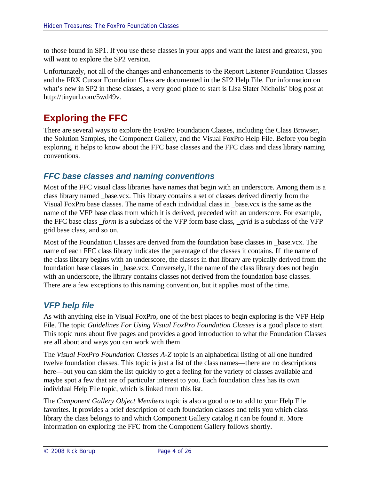to those found in SP1. If you use these classes in your apps and want the latest and greatest, you will want to explore the SP2 version.

Unfortunately, not all of the changes and enhancements to the Report Listener Foundation Classes and the FRX Cursor Foundation Class are documented in the SP2 Help File. For information on what's new in SP2 in these classes, a very good place to start is Lisa Slater Nicholls' blog post at http://tinyurl.com/5wd49v.

# **Exploring the FFC**

There are several ways to explore the FoxPro Foundation Classes, including the Class Browser, the Solution Samples, the Component Gallery, and the Visual FoxPro Help File. Before you begin exploring, it helps to know about the FFC base classes and the FFC class and class library naming conventions.

# *FFC base classes and naming conventions*

Most of the FFC visual class libraries have names that begin with an underscore. Among them is a class library named \_base.vcx. This library contains a set of classes derived directly from the Visual FoxPro base classes. The name of each individual class in \_base.vcx is the same as the name of the VFP base class from which it is derived, preceded with an underscore. For example, the FFC base class *\_form* is a subclass of the VFP form base class, *\_grid* is a subclass of the VFP grid base class, and so on.

Most of the Foundation Classes are derived from the foundation base classes in \_base.vcx. The name of each FFC class library indicates the parentage of the classes it contains. If the name of the class library begins with an underscore, the classes in that library are typically derived from the foundation base classes in \_base.vcx. Conversely, if the name of the class library does not begin with an underscore, the library contains classes not derived from the foundation base classes. There are a few exceptions to this naming convention, but it applies most of the time.

## *VFP help file*

As with anything else in Visual FoxPro, one of the best places to begin exploring is the VFP Help File. The topic *Guidelines For Using Visual FoxPro Foundation Classes* is a good place to start. This topic runs about five pages and provides a good introduction to what the Foundation Classes are all about and ways you can work with them.

The *Visual FoxPro Foundation Classes A-Z* topic is an alphabetical listing of all one hundred twelve foundation classes. This topic is just a list of the class names—there are no descriptions here—but you can skim the list quickly to get a feeling for the variety of classes available and maybe spot a few that are of particular interest to you. Each foundation class has its own individual Help File topic, which is linked from this list.

The *Component Gallery Object Members* topic is also a good one to add to your Help File favorites. It provides a brief description of each foundation classes and tells you which class library the class belongs to and which Component Gallery catalog it can be found it. More information on exploring the FFC from the Component Gallery follows shortly.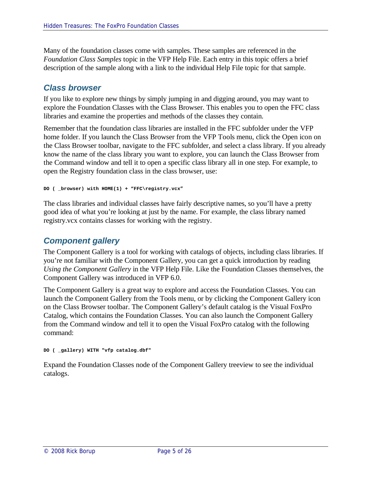Many of the foundation classes come with samples. These samples are referenced in the *Foundation Class Samples* topic in the VFP Help File. Each entry in this topic offers a brief description of the sample along with a link to the individual Help File topic for that sample.

### *Class browser*

If you like to explore new things by simply jumping in and digging around, you may want to explore the Foundation Classes with the Class Browser. This enables you to open the FFC class libraries and examine the properties and methods of the classes they contain.

Remember that the foundation class libraries are installed in the FFC subfolder under the VFP home folder. If you launch the Class Browser from the VFP Tools menu, click the Open icon on the Class Browser toolbar, navigate to the FFC subfolder, and select a class library. If you already know the name of the class library you want to explore, you can launch the Class Browser from the Command window and tell it to open a specific class library all in one step. For example, to open the Registry foundation class in the class browser, use:

```
DO ( _browser) with HOME(1) + "FFC\registry.vcx"
```
The class libraries and individual classes have fairly descriptive names, so you'll have a pretty good idea of what you're looking at just by the name. For example, the class library named registry.vcx contains classes for working with the registry.

## *Component gallery*

The Component Gallery is a tool for working with catalogs of objects, including class libraries. If you're not familiar with the Component Gallery, you can get a quick introduction by reading *Using the Component Gallery* in the VFP Help File. Like the Foundation Classes themselves, the Component Gallery was introduced in VFP 6.0.

The Component Gallery is a great way to explore and access the Foundation Classes. You can launch the Component Gallery from the Tools menu, or by clicking the Component Gallery icon on the Class Browser toolbar. The Component Gallery's default catalog is the Visual FoxPro Catalog, which contains the Foundation Classes. You can also launch the Component Gallery from the Command window and tell it to open the Visual FoxPro catalog with the following command:

**DO ( \_gallery) WITH "vfp catalog.dbf"**

Expand the Foundation Classes node of the Component Gallery treeview to see the individual catalogs.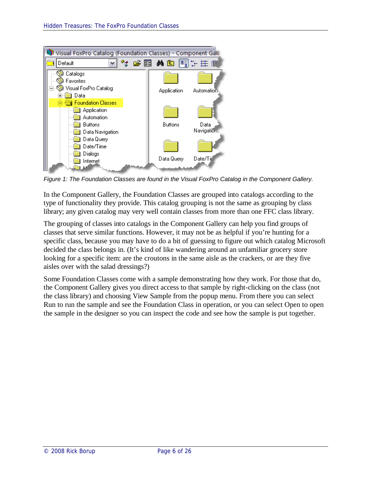

*Figure 1: The Foundation Classes are found in the Visual FoxPro Catalog in the Component Gallery.*

In the Component Gallery, the Foundation Classes are grouped into catalogs according to the type of functionality they provide. This catalog grouping is not the same as grouping by class library; any given catalog may very well contain classes from more than one FFC class library.

The grouping of classes into catalogs in the Component Gallery can help you find groups of classes that serve similar functions. However, it may not be as helpful if you're hunting for a specific class, because you may have to do a bit of guessing to figure out which catalog Microsoft decided the class belongs in. (It's kind of like wandering around an unfamiliar grocery store looking for a specific item: are the croutons in the same aisle as the crackers, or are they five aisles over with the salad dressings?)

Some Foundation Classes come with a sample demonstrating how they work. For those that do, the Component Gallery gives you direct access to that sample by right-clicking on the class (not the class library) and choosing View Sample from the popup menu. From there you can select Run to run the sample and see the Foundation Class in operation, or you can select Open to open the sample in the designer so you can inspect the code and see how the sample is put together.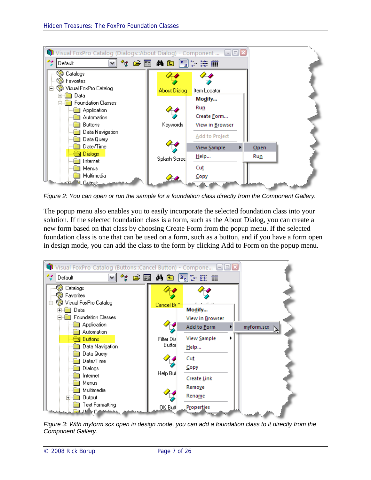

*Figure 2: You can open or run the sample for a foundation class directly from the Component Gallery.*

The popup menu also enables you to easily incorporate the selected foundation class into your solution. If the selected foundation class is a form, such as the About Dialog, you can create a new form based on that class by choosing Create Form from the popup menu. If the selected foundation class is one that can be used on a form, such as a button, and if you have a form open in design mode, you can add the class to the form by clicking Add to Form on the popup menu.



*Figure 3: With myform.scx open in design mode, you can add a foundation class to it directly from the Component Gallery.*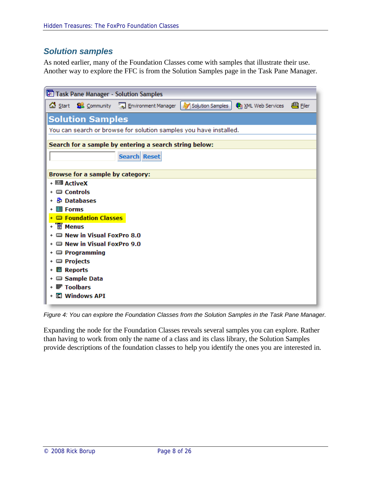# *Solution samples*

As noted earlier, many of the Foundation Classes come with samples that illustrate their use. Another way to explore the FFC is from the Solution Samples page in the Task Pane Manager.

| Task Pane Manager - Solution Samples                   |                                                                   |                                            |                  |                                   |  |
|--------------------------------------------------------|-------------------------------------------------------------------|--------------------------------------------|------------------|-----------------------------------|--|
|                                                        |                                                                   | Start 82 Community Sol Environment Manager | Solution Samples | A XML Web Services <b>A</b> Filer |  |
|                                                        | <b>Solution Samples</b>                                           |                                            |                  |                                   |  |
|                                                        | You can search or browse for solution samples you have installed. |                                            |                  |                                   |  |
| Search for a sample by entering a search string below: |                                                                   |                                            |                  |                                   |  |
|                                                        |                                                                   | <b>Search Reset</b>                        |                  |                                   |  |
|                                                        | Browse for a sample by category:                                  |                                            |                  |                                   |  |
| + 四国 ActiveX                                           |                                                                   |                                            |                  |                                   |  |
| $\Box$ Controls                                        |                                                                   |                                            |                  |                                   |  |
|                                                        | <b>B</b> Databases                                                |                                            |                  |                                   |  |
| <b>圖 Forms</b>                                         |                                                                   |                                            |                  |                                   |  |
|                                                        | + <b>E</b> Foundation Classes                                     |                                            |                  |                                   |  |
| + Ti Menus                                             |                                                                   |                                            |                  |                                   |  |
|                                                        | + New in Visual FoxPro 8.0                                        |                                            |                  |                                   |  |
| $+$ $\blacksquare$ New in Visual FoxPro 9.0            |                                                                   |                                            |                  |                                   |  |
|                                                        | $+$ $\blacksquare$ Programming                                    |                                            |                  |                                   |  |
| $+$ $\blacksquare$ Projects                            |                                                                   |                                            |                  |                                   |  |
| +  图  Reports                                          |                                                                   |                                            |                  |                                   |  |
|                                                        | + ■ Sample Data                                                   |                                            |                  |                                   |  |
| + <b> Toolbars</b>                                     |                                                                   |                                            |                  |                                   |  |
|                                                        | + □ Windows API                                                   |                                            |                  |                                   |  |

*Figure 4: You can explore the Foundation Classes from the Solution Samples in the Task Pane Manager.*

Expanding the node for the Foundation Classes reveals several samples you can explore. Rather than having to work from only the name of a class and its class library, the Solution Samples provide descriptions of the foundation classes to help you identify the ones you are interested in.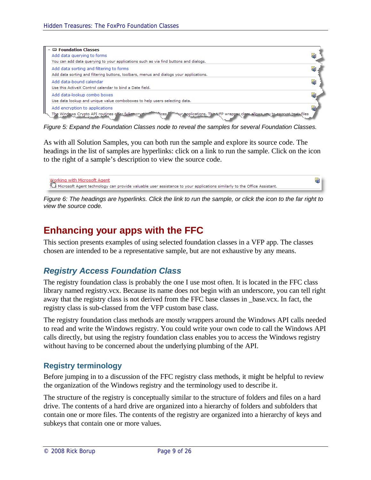

*Figure 5: Expand the Foundation Classes node to reveal the samples for several Foundation Classes.*

As with all Solution Samples, you can both run the sample and explore its source code. The headings in the list of samples are hyperlinks: click on a link to run the sample. Click on the icon to the right of a sample's description to view the source code.

```
Working with Microsoft Agent<br>KL Microsoft Agent technology can provide valuable user assistance to your applications similarly to the Office Assistant.
                                                                                                                                                                                 履
```
*Figure 6: The headings are hyperlinks. Click the link to run the sample, or click the icon to the far right to view the source code.*

# **Enhancing your apps with the FFC**

This section presents examples of using selected foundation classes in a VFP app. The classes chosen are intended to be a representative sample, but are not exhaustive by any means.

## *Registry Access Foundation Class*

The registry foundation class is probably the one I use most often. It is located in the FFC class library named registry.vcx. Because its name does not begin with an underscore, you can tell right away that the registry class is not derived from the FFC base classes in \_base.vcx. In fact, the registry class is sub-classed from the VFP custom base class.

The registry foundation class methods are mostly wrappers around the Windows API calls needed to read and write the Windows registry. You could write your own code to call the Windows API calls directly, but using the registry foundation class enables you to access the Windows registry without having to be concerned about the underlying plumbing of the API.

#### **Registry terminology**

Before jumping in to a discussion of the FFC registry class methods, it might be helpful to review the organization of the Windows registry and the terminology used to describe it.

The structure of the registry is conceptually similar to the structure of folders and files on a hard drive. The contents of a hard drive are organized into a hierarchy of folders and subfolders that contain one or more files. The contents of the registry are organized into a hierarchy of keys and subkeys that contain one or more values.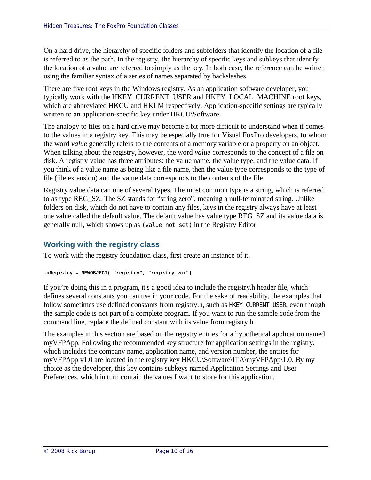On a hard drive, the hierarchy of specific folders and subfolders that identify the location of a file is referred to as the path. In the registry, the hierarchy of specific keys and subkeys that identify the location of a value are referred to simply as the key. In both case, the reference can be written using the familiar syntax of a series of names separated by backslashes.

There are five root keys in the Windows registry. As an application software developer, you typically work with the HKEY\_CURRENT\_USER and HKEY\_LOCAL\_MACHINE root keys, which are abbreviated HKCU and HKLM respectively. Application-specific settings are typically written to an application-specific key under HKCU\Software.

The analogy to files on a hard drive may become a bit more difficult to understand when it comes to the values in a registry key. This may be especially true for Visual FoxPro developers, to whom the word *value* generally refers to the contents of a memory variable or a property on an object. When talking about the registry, however, the word *value* corresponds to the concept of a file on disk. A registry value has three attributes: the value name, the value type, and the value data. If you think of a value name as being like a file name, then the value type corresponds to the type of file (file extension) and the value data corresponds to the contents of the file.

Registry value data can one of several types. The most common type is a string, which is referred to as type REG\_SZ. The SZ stands for "string zero", meaning a null-terminated string. Unlike folders on disk, which do not have to contain any files, keys in the registry always have at least one value called the default value. The default value has value type REG\_SZ and its value data is generally null, which shows up as (value not set) in the Registry Editor.

## **Working with the registry class**

To work with the registry foundation class, first create an instance of it.

```
loRegistry = NEWOBJECT( "registry", "registry.vcx")
```
If you're doing this in a program, it's a good idea to include the registry.h header file, which defines several constants you can use in your code. For the sake of readability, the examples that follow sometimes use defined constants from registry.h, such as HKEY\_CURRENT\_USER, even though the sample code is not part of a complete program. If you want to run the sample code from the command line, replace the defined constant with its value from registry.h.

The examples in this section are based on the registry entries for a hypothetical application named myVFPApp. Following the recommended key structure for application settings in the registry, which includes the company name, application name, and version number, the entries for myVFPApp v1.0 are located in the registry key HKCU\Software\ITA\myVFPApp\1.0. By my choice as the developer, this key contains subkeys named Application Settings and User Preferences, which in turn contain the values I want to store for this application.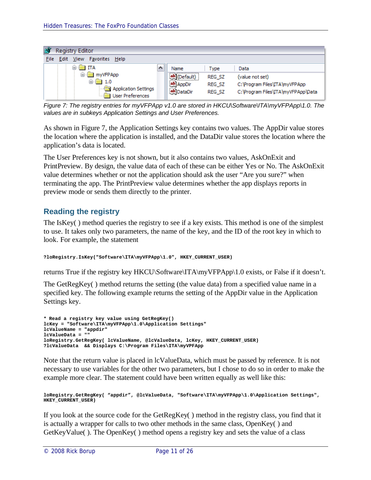

*Figure 7: The registry entries for myVFPApp v1.0 are stored in HKCU\Software\ITA\myVFPApp\1.0. The values are in subkeys Application Settings and User Preferences.*

As shown in Figure 7, the Application Settings key contains two values. The AppDir value stores the location where the application is installed, and the DataDir value stores the location where the application's data is located.

The User Preferences key is not shown, but it also contains two values, AskOnExit and PrintPreview. By design, the value data of each of these can be either Yes or No. The AskOnExit value determines whether or not the application should ask the user "Are you sure?" when terminating the app. The PrintPreview value determines whether the app displays reports in preview mode or sends them directly to the printer.

### **Reading the registry**

The IsKey( ) method queries the registry to see if a key exists. This method is one of the simplest to use. It takes only two parameters, the name of the key, and the ID of the root key in which to look. For example, the statement

```
?loRegistry.IsKey("Software\ITA\myVFPApp\1.0", HKEY_CURRENT_USER)
```
returns True if the registry key HKCU\Software\ITA\myVFPApp\1.0 exists, or False if it doesn't.

The GetRegKey( ) method returns the setting (the value data) from a specified value name in a specified key. The following example returns the setting of the AppDir value in the Application Settings key.

```
* Read a registry key value using GetRegKey()
lcKey = "Software\ITA\myVFPApp\1.0\Application Settings"
lcValueName = "appdir"
lcValueData = ""
loRegistry.GetRegKey( lcValueName, @lcValueData, lcKey, HKEY_CURRENT_USER)
?lcValueData && Displays C:\Program Files\ITA\myVPFApp
```
Note that the return value is placed in lcValueData, which must be passed by reference. It is not necessary to use variables for the other two parameters, but I chose to do so in order to make the example more clear. The statement could have been written equally as well like this:

```
loRegistry.GetRegKey( "appdir", @lcValueData, "Software\ITA\myVFPApp\1.0\Application Settings", 
HKEY_CURRENT_USER)
```
If you look at the source code for the GetRegKey( ) method in the registry class, you find that it is actually a wrapper for calls to two other methods in the same class, OpenKey( ) and GetKeyValue( ). The OpenKey( ) method opens a registry key and sets the value of a class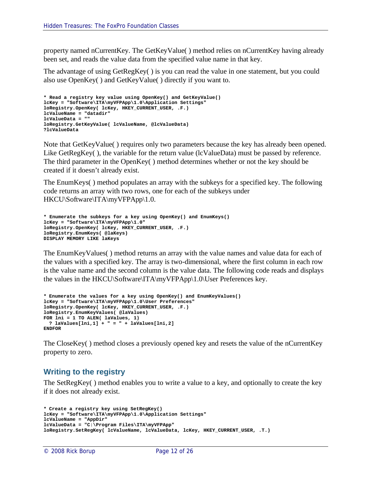property named nCurrentKey. The GetKeyValue( ) method relies on nCurrentKey having already been set, and reads the value data from the specified value name in that key.

The advantage of using GetRegKey( ) is you can read the value in one statement, but you could also use OpenKey( ) and GetKeyValue( ) directly if you want to.

```
* Read a registry key value using OpenKey() and GetKeyValue()
lcKey = "Software\ITA\myVFPApp\1.0\Application Settings"
loRegistry.OpenKey( lcKey, HKEY_CURRENT_USER, .F.)
lcValueName = "datadir"
lcValueData = ""
loRegistry.GetKeyValue( lcValueName, @lcValueData)
?lcValueData
```
Note that GetKeyValue( ) requires only two parameters because the key has already been opened. Like GetRegKey(), the variable for the return value (lcValueData) must be passed by reference. The third parameter in the OpenKey( ) method determines whether or not the key should be created if it doesn't already exist.

The EnumKeys( ) method populates an array with the subkeys for a specified key. The following code returns an array with two rows, one for each of the subkeys under HKCU\Software\ITA\myVFPApp\1.0.

```
* Enumerate the subkeys for a key using OpenKey() and EnumKeys()
lcKey = "Software\ITA\myVFPApp\1.0"
loRegistry.OpenKey( lcKey, HKEY_CURRENT_USER, .F.)
loRegistry.EnumKeys( @laKeys)
DISPLAY MEMORY LIKE laKeys
```
The EnumKeyValues( ) method returns an array with the value names and value data for each of the values with a specified key. The array is two-dimensional, where the first column in each row is the value name and the second column is the value data. The following code reads and displays the values in the HKCU\Software\ITA\myVFPApp\1.0\User Preferences key.

```
* Enumerate the values for a key using OpenKey() and EnumKeyValues()
lcKey = "Software\ITA\myVFPApp\1.0\User Preferences"
loRegistry.OpenKey( lcKey, HKEY_CURRENT_USER, .F.)
loRegistry.EnumKeyValues( @laValues)
FOR lni = 1 TO ALEN( laValues, 1)
 ? laValues[lni,1] + " = " + laValues[lni,2]
ENDFOR
```
The CloseKey( ) method closes a previously opened key and resets the value of the nCurrentKey property to zero.

#### **Writing to the registry**

The SetRegKey( ) method enables you to write a value to a key, and optionally to create the key if it does not already exist.

```
* Create a registry key using SetRegKey()
lcKey = "Software\ITA\myVFPApp\1.0\Application Settings"
lcValueName = "AppDir"
lcValueData = "C:\Program Files\ITA\myVFPApp"
loRegistry.SetRegKey( lcValueName, lcValueData, lcKey, HKEY_CURRENT_USER, .T.)
```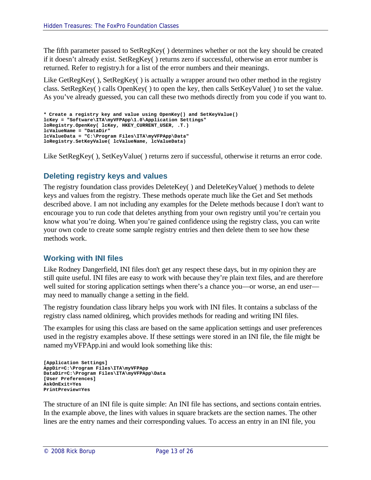The fifth parameter passed to SetRegKey( ) determines whether or not the key should be created if it doesn't already exist. SetRegKey( ) returns zero if successful, otherwise an error number is returned. Refer to registry.h for a list of the error numbers and their meanings.

Like GetRegKey(), SetRegKey() is actually a wrapper around two other method in the registry class. SetRegKey( ) calls OpenKey( ) to open the key, then calls SetKeyValue( ) to set the value. As you've already guessed, you can call these two methods directly from you code if you want to.

```
* Create a registry key and value using OpenKey() and SetKeyValue()
lcKey = "Software\ITA\myVFPApp\1.0\Application Settings"
loRegistry.OpenKey( lcKey, HKEY_CURRENT_USER, .T.)
lcValueName = "DataDir"
lcValueData = "C:\Program Files\ITA\myVFPApp\Data"
loRegistry.SetKeyValue( lcValueName, lcValueData)
```
Like SetRegKey( ), SetKeyValue( ) returns zero if successful, otherwise it returns an error code.

#### **Deleting registry keys and values**

The registry foundation class provides DeleteKey( ) and DeleteKeyValue( ) methods to delete keys and values from the registry. These methods operate much like the Get and Set methods described above. I am not including any examples for the Delete methods because I don't want to encourage you to run code that deletes anything from your own registry until you're certain you know what you're doing. When you're gained confidence using the registry class, you can write your own code to create some sample registry entries and then delete them to see how these methods work.

#### **Working with INI files**

Like Rodney Dangerfield, INI files don't get any respect these days, but in my opinion they are still quite useful. INI files are easy to work with because they're plain text files, and are therefore well suited for storing application settings when there's a chance you—or worse, an end user may need to manually change a setting in the field.

The registry foundation class library helps you work with INI files. It contains a subclass of the registry class named oldinireg, which provides methods for reading and writing INI files.

The examples for using this class are based on the same application settings and user preferences used in the registry examples above. If these settings were stored in an INI file, the file might be named myVFPApp.ini and would look something like this:

```
[Application Settings]
AppDir=C:\Program Files\ITA\myVFPApp
DataDir=C:\Program Files\ITA\myVFPApp\Data
[User Preferences]
AskOnExit=Yes
PrintPreview=Yes
```
The structure of an INI file is quite simple: An INI file has sections, and sections contain entries. In the example above, the lines with values in square brackets are the section names. The other lines are the entry names and their corresponding values. To access an entry in an INI file, you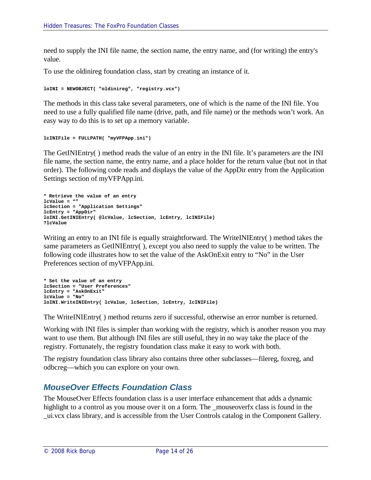need to supply the INI file name, the section name, the entry name, and (for writing) the entry's value.

To use the oldinireg foundation class, start by creating an instance of it.

```
loINI = NEWOBJECT( "oldinireg", "registry.vcx")
```
The methods in this class take several parameters, one of which is the name of the INI file. You need to use a fully qualified file name (drive, path, and file name) or the methods won't work. An easy way to do this is to set up a memory variable.

```
lcINIFile = FULLPATH( "myVFPApp.ini")
```
The GetINIEntry( ) method reads the value of an entry in the INI file. It's parameters are the INI file name, the section name, the entry name, and a place holder for the return value (but not in that order). The following code reads and displays the value of the AppDir entry from the Application Settings section of myVFPApp.ini.

```
* Retrieve the value of an entry
lcValue = ""
lcSection = "Application Settings"
lcEntry = "AppDir"
loINI.GetINIEntry( @lcValue, lcSection, lcEntry, lcINIFile)
?lcValue
```
Writing an entry to an INI file is equally straightforward. The WriteINIEntry( ) method takes the same parameters as GetINIEntry( ), except you also need to supply the value to be written. The following code illustrates how to set the value of the AskOnExit entry to "No" in the User Preferences section of myVFPApp.ini.

```
* Set the value of an entry
lcSection = "User Preferences"
lcEntry = "AskOnExit"
lcValue = "No"
loINI.WriteINIEntry( lcValue, lcSection, lcEntry, lcINIFile)
```
The WriteINIEntry( ) method returns zero if successful, otherwise an error number is returned.

Working with INI files is simpler than working with the registry, which is another reason you may want to use them. But although INI files are still useful, they in no way take the place of the registry. Fortunately, the registry foundation class make it easy to work with both.

The registry foundation class library also contains three other subclasses—filereg, foxreg, and odbcreg—which you can explore on your own.

# *MouseOver Effects Foundation Class*

The MouseOver Effects foundation class is a user interface enhancement that adds a dynamic highlight to a control as you mouse over it on a form. The mouseoverfx class is found in the \_ui.vcx class library, and is accessible from the User Controls catalog in the Component Gallery.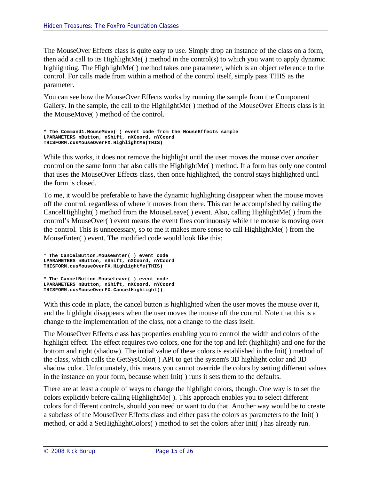The MouseOver Effects class is quite easy to use. Simply drop an instance of the class on a form, then add a call to its HighlightMe( ) method in the control(s) to which you want to apply dynamic highlighting. The HighlightMe( ) method takes one parameter, which is an object reference to the control. For calls made from within a method of the control itself, simply pass THIS as the parameter.

You can see how the MouseOver Effects works by running the sample from the Component Gallery. In the sample, the call to the HighlightMe( ) method of the MouseOver Effects class is in the MouseMove( ) method of the control.

```
* The Command1.MouseMove( ) event code from the MouseEffects sample
LPARAMETERS nButton, nShift, nXCoord, nYCoord
THISFORM.cusMouseOverFX.HighlightMe(THIS)
```
While this works, it does not remove the highlight until the user moves the mouse over *another* control on the same form that also calls the HighlightMe( ) method. If a form has only one control that uses the MouseOver Effects class, then once highlighted, the control stays highlighted until the form is closed.

To me, it would be preferable to have the dynamic highlighting disappear when the mouse moves off the control, regardless of where it moves from there. This can be accomplished by calling the CancelHighlight( ) method from the MouseLeave( ) event. Also, calling HighlightMe( ) from the control's MouseOver( ) event means the event fires continuously while the mouse is moving over the control. This is unnecessary, so to me it makes more sense to call HighlightMe( ) from the MouseEnter( ) event. The modified code would look like this:

```
* The CancelButton.MouseEnter( ) event code
LPARAMETERS nButton, nShift, nXCoord, nYCoord
THISFORM.cusMouseOverFX.HighlightMe(THIS)
* The CancelButton.MouseLeave( ) event code
LPARAMETERS nButton, nShift, nXCoord, nYCoord
THISFORM.cusMouseOverFX.CancelHighlight()
```
With this code in place, the cancel button is highlighted when the user moves the mouse over it, and the highlight disappears when the user moves the mouse off the control. Note that this is a change to the implementation of the class, not a change to the class itself.

The MouseOver Effects class has properties enabling you to control the width and colors of the highlight effect. The effect requires two colors, one for the top and left (highlight) and one for the bottom and right (shadow). The initial value of these colors is established in the Init( ) method of the class, which calls the GetSysColor( ) API to get the system's 3D highlight color and 3D shadow color. Unfortunately, this means you cannot override the colors by setting different values in the instance on your form, because when Init( ) runs it sets them to the defaults.

There are at least a couple of ways to change the highlight colors, though. One way is to set the colors explicitly before calling HighlightMe( ). This approach enables you to select different colors for different controls, should you need or want to do that. Another way would be to create a subclass of the MouseOver Effects class and either pass the colors as parameters to the Init( ) method, or add a SetHighlightColors( ) method to set the colors after Init( ) has already run.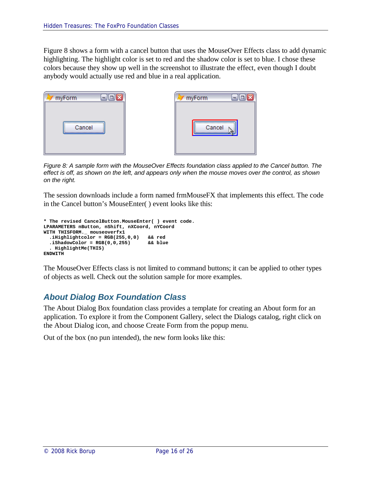Figure 8 shows a form with a cancel button that uses the MouseOver Effects class to add dynamic highlighting. The highlight color is set to red and the shadow color is set to blue. I chose these colors because they show up well in the screenshot to illustrate the effect, even though I doubt anybody would actually use red and blue in a real application.



*Figure 8: A sample form with the MouseOver Effects foundation class applied to the Cancel button. The effect is off, as shown on the left, and appears only when the mouse moves over the control, as shown on the right.*

The session downloads include a form named frmMouseFX that implements this effect. The code in the Cancel button's MouseEnter( ) event looks like this:

```
* The revised CancelButton.MouseEnter( ) event code.
LPARAMETERS nButton, nShift, nXCoord, nYCoord
WITH THISFORM._ mouseoverfx1
  .iHighlightcolor = RGB(255,0,0) && red
  .iShadowColor = RGB(0,0,255) && blue
  . HighlightMe(THIS)
ENDWITH
```
The MouseOver Effects class is not limited to command buttons; it can be applied to other types of objects as well. Check out the solution sample for more examples.

## *About Dialog Box Foundation Class*

The About Dialog Box foundation class provides a template for creating an About form for an application. To explore it from the Component Gallery, select the Dialogs catalog, right click on the About Dialog icon, and choose Create Form from the popup menu.

Out of the box (no pun intended), the new form looks like this: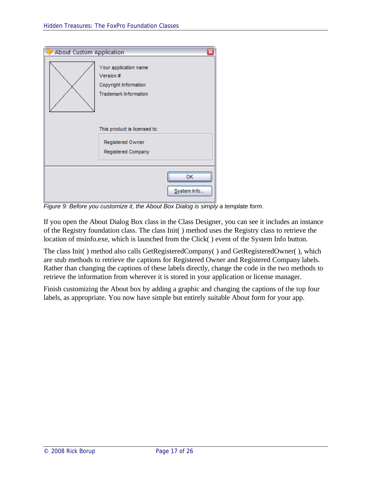| <b>About Custom Application</b> |                                                                                             | ×                       |
|---------------------------------|---------------------------------------------------------------------------------------------|-------------------------|
|                                 | Your application name<br>Version #<br>Copyright Information<br><b>Trademark Information</b> |                         |
|                                 | This product is licensed to:<br>Registered Owner<br>Registered Company                      |                         |
|                                 |                                                                                             | <br><br><br>System Info |

*Figure 9: Before you customize it, the About Box Dialog is simply a template form.*

If you open the About Dialog Box class in the Class Designer, you can see it includes an instance of the Registry foundation class. The class Init( ) method uses the Registry class to retrieve the location of msinfo.exe, which is launched from the Click( ) event of the System Info button.

The class Init( ) method also calls GetRegisteredCompany( ) and GetRegisteredOwner( ), which are stub methods to retrieve the captions for Registered Owner and Registered Company labels. Rather than changing the captions of these labels directly, change the code in the two methods to retrieve the information from wherever it is stored in your application or license manager.

Finish customizing the About box by adding a graphic and changing the captions of the top four labels, as appropriate. You now have simple but entirely suitable About form for your app.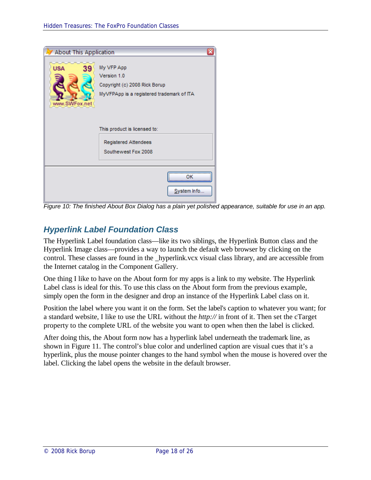

*Figure 10: The finished About Box Dialog has a plain yet polished appearance, suitable for use in an app.*

# *Hyperlink Label Foundation Class*

The Hyperlink Label foundation class—like its two siblings, the Hyperlink Button class and the Hyperlink Image class—provides a way to launch the default web browser by clicking on the control. These classes are found in the \_hyperlink.vcx visual class library, and are accessible from the Internet catalog in the Component Gallery.

One thing I like to have on the About form for my apps is a link to my website. The Hyperlink Label class is ideal for this. To use this class on the About form from the previous example, simply open the form in the designer and drop an instance of the Hyperlink Label class on it.

Position the label where you want it on the form. Set the label's caption to whatever you want; for a standard website, I like to use the URL without the *http://* in front of it. Then set the cTarget property to the complete URL of the website you want to open when then the label is clicked.

After doing this, the About form now has a hyperlink label underneath the trademark line, as shown in Figure 11. The control's blue color and underlined caption are visual cues that it's a hyperlink, plus the mouse pointer changes to the hand symbol when the mouse is hovered over the label. Clicking the label opens the website in the default browser.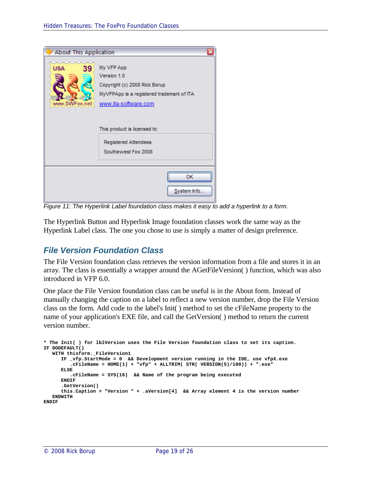

*Figure 11: The Hyperlink Label foundation class makes it easy to add a hyperlink to a form.*

The Hyperlink Button and Hyperlink Image foundation classes work the same way as the Hyperlink Label class. The one you chose to use is simply a matter of design preference.

#### *File Version Foundation Class*

The File Version foundation class retrieves the version information from a file and stores it in an array. The class is essentially a wrapper around the AGetFileVersion( ) function, which was also introduced in VFP 6.0.

One place the File Version foundation class can be useful is in the About form. Instead of manually changing the caption on a label to reflect a new version number, drop the File Version class on the form. Add code to the label's Init( ) method to set the cFileName property to the name of your application's EXE file, and call the GetVersion( ) method to return the current version number.

```
* The Init( ) for lblVersion uses the File Version foundation class to set its caption.
IF DODEFAULT()
  WITH thisform._FileVersion1
     IF _vfp.StartMode = 0 && Development version running in the IDE, use vfpX.exe
         .cFileName = HOME(1) + "vfp" + ALLTRIM( STR( VERSION(5)/100)) + ".exe"
     ELSE
         .cFileName = SYS(16) && Name of the program being executed
     ENDIF
      .GetVersion()
     this.Caption = "Version " + .aVersion[4] && Array element 4 is the version number
  ENDWITH
ENDIF
```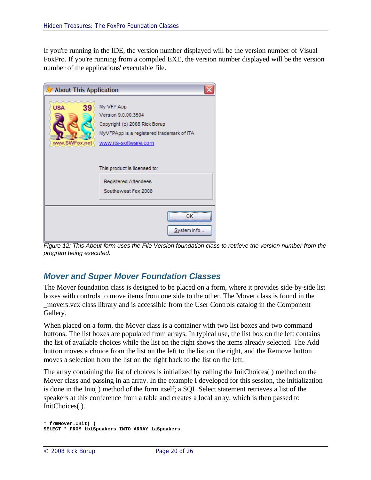If you're running in the IDE, the version number displayed will be the version number of Visual FoxPro. If you're running from a compiled EXE, the version number displayed will be the version number of the applications' executable file.

| <b>About This Application</b>     |                                                                                                                                         |  |
|-----------------------------------|-----------------------------------------------------------------------------------------------------------------------------------------|--|
| <b>USA</b><br>39<br>www.SWFox.net | My VFP App<br>Version 9.0.00.3504<br>Copyright (c) 2008 Rick Borup<br>MyVFPApp is a registered trademark of ITA<br>www.ita-software.com |  |
|                                   | This product is licensed to:<br>Registered Attendees<br>Southewest Fox 2008                                                             |  |
|                                   | System Info                                                                                                                             |  |

*Figure 12: This About form uses the File Version foundation class to retrieve the version number from the program being executed.*

## *Mover and Super Mover Foundation Classes*

The Mover foundation class is designed to be placed on a form, where it provides side-by-side list boxes with controls to move items from one side to the other. The Mover class is found in the \_movers.vcx class library and is accessible from the User Controls catalog in the Component Gallery.

When placed on a form, the Mover class is a container with two list boxes and two command buttons. The list boxes are populated from arrays. In typical use, the list box on the left contains the list of available choices while the list on the right shows the items already selected. The Add button moves a choice from the list on the left to the list on the right, and the Remove button moves a selection from the list on the right back to the list on the left.

The array containing the list of choices is initialized by calling the InitChoices( ) method on the Mover class and passing in an array. In the example I developed for this session, the initialization is done in the Init( ) method of the form itself; a SQL Select statement retrieves a list of the speakers at this conference from a table and creates a local array, which is then passed to InitChoices( ).

```
* frmMover.Init( )
SELECT * FROM tblSpeakers INTO ARRAY laSpeakers
```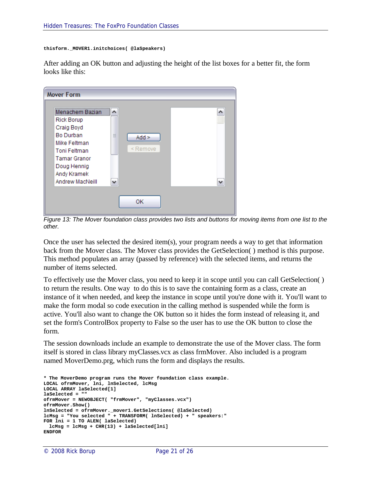```
thisform._MOVER1.initchoices( @laSpeakers)
```
After adding an OK button and adjusting the height of the list boxes for a better fit, the form looks like this:



*Figure 13: The Mover foundation class provides two lists and buttons for moving items from one list to the other.*

Once the user has selected the desired item(s), your program needs a way to get that information back from the Mover class. The Mover class provides the GetSelection( ) method is this purpose. This method populates an array (passed by reference) with the selected items, and returns the number of items selected.

To effectively use the Mover class, you need to keep it in scope until you can call GetSelection( ) to return the results. One way to do this is to save the containing form as a class, create an instance of it when needed, and keep the instance in scope until you're done with it. You'll want to make the form modal so code execution in the calling method is suspended while the form is active. You'll also want to change the OK button so it hides the form instead of releasing it, and set the form's ControlBox property to False so the user has to use the OK button to close the form.

The session downloads include an example to demonstrate the use of the Mover class. The form itself is stored in class library myClasses.vcx as class frmMover. Also included is a program named MoverDemo.prg, which runs the form and displays the results.

```
* The MoverDemo program runs the Mover foundation class example.
LOCAL ofrmMover, lni, lnSelected, lcMsg
LOCAL ARRAY laSelected[1]
laSelected = ""
ofrmMover = NEWOBJECT( "frmMover", "myClasses.vcx")
ofrmMover.Show()
lnSelected = ofrmMover._mover1.GetSelections( @laSelected)
lcMsg = "You selected " + TRANSFORM( lnSelected) + " speakers:"
FOR lni = 1 TO ALEN( laSelected)
 lcMsg = lcMsg + CHR(13) + laSelected[lni]
ENDFOR
```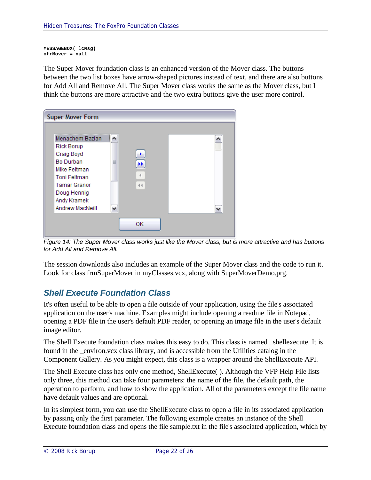**MESSAGEBOX( lcMsg) ofrMover = null**

The Super Mover foundation class is an enhanced version of the Mover class. The buttons between the two list boxes have arrow-shaped pictures instead of text, and there are also buttons for Add All and Remove All. The Super Mover class works the same as the Mover class, but I think the buttons are more attractive and the two extra buttons give the user more control.

| <b>Super Mover Form</b>                                                                                                                                                               |                     |  |
|---------------------------------------------------------------------------------------------------------------------------------------------------------------------------------------|---------------------|--|
| Menachem Bazian<br><b>Rick Borup</b><br>Craig Boyd<br><b>Bo Durban</b><br>Mike Feltman<br><b>Toni Feltman</b><br><b>Tamar Granor</b><br>Doug Hennig<br>Andy Kramek<br>Andrew MacNeill | ۰.<br>亖<br>H.<br>44 |  |
|                                                                                                                                                                                       | ОK                  |  |

*Figure 14: The Super Mover class works just like the Mover class, but is more attractive and has buttons for Add All and Remove All.*

The session downloads also includes an example of the Super Mover class and the code to run it. Look for class frmSuperMover in myClasses.vcx, along with SuperMoverDemo.prg.

# *Shell Execute Foundation Class*

It's often useful to be able to open a file outside of your application, using the file's associated application on the user's machine. Examples might include opening a readme file in Notepad, opening a PDF file in the user's default PDF reader, or opening an image file in the user's default image editor.

The Shell Execute foundation class makes this easy to do. This class is named \_shellexecute. It is found in the \_environ.vcx class library, and is accessible from the Utilities catalog in the Component Gallery. As you might expect, this class is a wrapper around the ShellExecute API.

The Shell Execute class has only one method, ShellExecute( ). Although the VFP Help File lists only three, this method can take four parameters: the name of the file, the default path, the operation to perform, and how to show the application. All of the parameters except the file name have default values and are optional.

In its simplest form, you can use the ShellExecute class to open a file in its associated application by passing only the first parameter. The following example creates an instance of the Shell Execute foundation class and opens the file sample.txt in the file's associated application, which by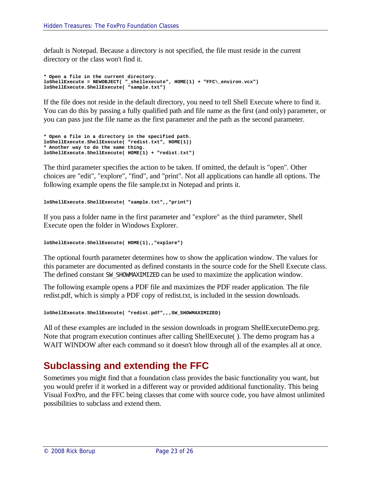default is Notepad. Because a directory is not specified, the file must reside in the current directory or the class won't find it.

```
* Open a file in the current directory.
loShellExecute = NEWOBJECT( "_shellexecute", HOME(1) + "FFC\_environ.vcx")
loShellExecute.ShellExecute( "sample.txt")
```
If the file does not reside in the default directory, you need to tell Shell Execute where to find it. You can do this by passing a fully qualified path and file name as the first (and only) parameter, or you can pass just the file name as the first parameter and the path as the second parameter.

```
* Open a file in a directory in the specified path.
loShellExecute.ShellExecute( "redist.txt", HOME(1))
* Another way to do the same thing.
loShellExecute.ShellExecute( HOME(1) + "redist.txt")
```
The third parameter specifies the action to be taken. If omitted, the default is "open". Other choices are "edit", "explore", "find", and "print". Not all applications can handle all options. The following example opens the file sample.txt in Notepad and prints it.

```
loShellExecute.ShellExecute( "sample.txt",,"print")
```
If you pass a folder name in the first parameter and "explore" as the third parameter, Shell Execute open the folder in Windows Explorer.

```
loShellExecute.ShellExecute( HOME(1),,"explore")
```
The optional fourth parameter determines how to show the application window. The values for this parameter are documented as defined constants in the source code for the Shell Execute class. The defined constant SW\_SHOWMAXIMIZED can be used to maximize the application window.

The following example opens a PDF file and maximizes the PDF reader application. The file redist.pdf, which is simply a PDF copy of redist.txt, is included in the session downloads.

```
loShellExecute.ShellExecute( "redist.pdf",,,SW_SHOWMAXIMIZED)
```
All of these examples are included in the session downloads in program ShellExecuteDemo.prg. Note that program execution continues after calling ShellExecute( ). The demo program has a WAIT WINDOW after each command so it doesn't blow through all of the examples all at once.

# **Subclassing and extending the FFC**

Sometimes you might find that a foundation class provides the basic functionality you want, but you would prefer if it worked in a different way or provided additional functionality. This being Visual FoxPro, and the FFC being classes that come with source code, you have almost unlimited possibilities to subclass and extend them.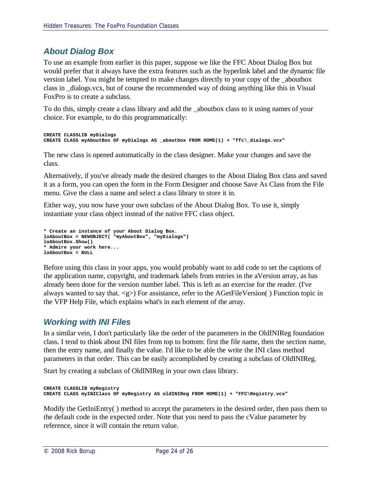# *About Dialog Box*

To use an example from earlier in this paper, suppose we like the FFC About Dialog Box but would prefer that it always have the extra features such as the hyperlink label and the dynamic file version label. You might be tempted to make changes directly to your copy of the \_aboutbox class in \_dialogs.vcx, but of course the recommended way of doing anything like this in Visual FoxPro is to create a subclass.

To do this, simply create a class library and add the \_aboutbox class to it using names of your choice. For example, to do this programmatically:

```
CREATE CLASSLIB myDialogs
CREATE CLASS myAboutBox OF myDialogs AS _aboutbox FROM HOME(1) + "ffc\_dialogs.vcx"
```
The new class is opened automatically in the class designer. Make your changes and save the class.

Alternatively, if you've already made the desired changes to the About Dialog Box class and saved it as a form, you can open the form in the Form Designer and choose Save As Class from the File menu. Give the class a name and select a class library to store it in.

Either way, you now have your own subclass of the About Dialog Box. To use it, simply instantiate your class object instead of the native FFC class object.

```
* Create an instance of your About Dialog Box.
loAboutBox = NEWOBJECT( "myAboutBox", "myDialogs")
loAboutBox.Show()
* Admire your work here...
loAboutBox = NULL
```
Before using this class in your apps, you would probably want to add code to set the captions of the application name, copyright, and trademark labels from entries in the aVersion array, as has already been done for the version number label. This is left as an exercise for the reader. (I've always wanted to say that.  $\langle g \rangle$  For assistance, refer to the AGetFileVersion() Function topic in the VFP Help File, which explains what's in each element of the array.

## *Working with INI Files*

In a similar vein, I don't particularly like the order of the parameters in the OldINIReg foundation class. I tend to think about INI files from top to bottom: first the file name, then the section name, then the entry name, and finally the value. I'd like to be able the write the INI class method parameters in that order. This can be easily accomplished by creating a subclass of OldINIReg.

Start by creating a subclass of OldINIReg in your own class library.

```
CREATE CLASSLIB myRegistry
CREATE CLASS myINIClass OF myRegistry AS oldINIReg FROM HOME(1) + "FFC\Registry.vcx"
```
Modify the GetIniEntry( ) method to accept the parameters in the desired order, then pass them to the default code in the expected order. Note that you need to pass the cValue parameter by reference, since it will contain the return value.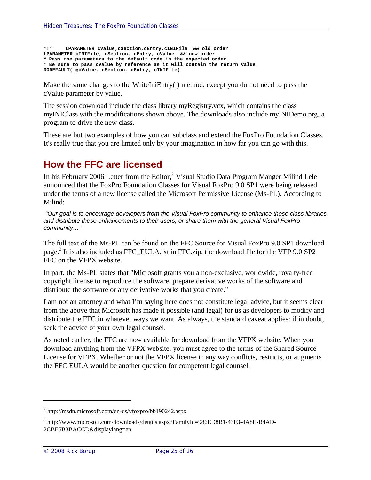```
*!* LPARAMETER cValue,cSection,cEntry,cINIFile && old order
LPARAMETER cINIFile, cSection, cEntry, cValue && new order
* Pass the parameters to the default code in the expected order.
* Be sure to pass cValue by reference as it will contain the return value.
DODEFAULT( @cValue, cSection, cEntry, cINIFile)
```
Make the same changes to the WriteIniEntry( ) method, except you do not need to pass the cValue parameter by value.

The session download include the class library myRegistry.vcx, which contains the class myINIClass with the modifications shown above. The downloads also include myINIDemo.prg, a program to drive the new class.

These are but two examples of how you can subclass and extend the FoxPro Foundation Classes. It's really true that you are limited only by your imagination in how far you can go with this.

# **How the FFC are licensed**

In his February 2006 Letter from the Editor,<sup>2</sup> Visual Studio Data Program Manger Milind Lele announced that the FoxPro Foundation Classes for Visual FoxPro 9.0 SP1 were being released under the terms of a new license called the Microsoft Permissive License (Ms-PL). According to Milind:

*"Our goal is to encourage developers from the Visual FoxPro community to enhance these class libraries and distribute these enhancements to their users, or share them with the general Visual FoxPro community…"*

The full text of the Ms-PL can be found on the FFC Source for Visual FoxPro 9.0 SP1 download page.<sup>3</sup> It is also included as FFC\_EULA.txt in FFC.zip, the download file for the VFP 9.0 SP2 FFC on the VFPX website.

In part, the Ms-PL states that "Microsoft grants you a non-exclusive, worldwide, royalty-free copyright license to reproduce the software, prepare derivative works of the software and distribute the software or any derivative works that you create."

I am not an attorney and what I'm saying here does not constitute legal advice, but it seems clear from the above that Microsoft has made it possible (and legal) for us as developers to modify and distribute the FFC in whatever ways we want. As always, the standard caveat applies: if in doubt, seek the advice of your own legal counsel.

As noted earlier, the FFC are now available for download from the VFPX website. When you download anything from the VFPX website, you must agree to the terms of the Shared Source License for VFPX. Whether or not the VFPX license in any way conflicts, restricts, or augments the FFC EULA would be another question for competent legal counsel.

<sup>&</sup>lt;sup>2</sup> http://msdn.microsoft.com/en-us/vfoxpro/bb190242.aspx

<sup>&</sup>lt;sup>3</sup> http://www.microsoft.com/downloads/details.aspx?FamilyId=986ED8B1-43F3-4A8E-B4AD-2CBE5B3BACCD&displaylang=en